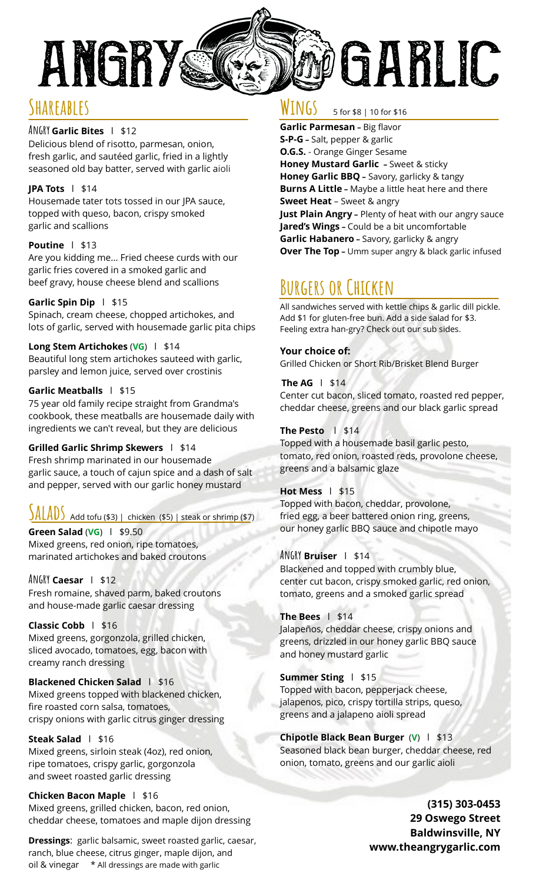

### **Shareables**

#### **Angry Garlic Bites** l \$12

Delicious blend of risotto, parmesan, onion, fresh garlic, and sautéed garlic, fried in a lightly seasoned old bay batter, served with garlic aioli

#### **JPA Tots** l \$14

Housemade tater tots tossed in our JPA sauce, topped with queso, bacon, crispy smoked garlic and scallions

#### **Poutine** l \$13

Are you kidding me… Fried cheese curds with our garlic fries covered in a smoked garlic and beef gravy, house cheese blend and scallions

#### **Garlic Spin Dip** l \$15

Spinach, cream cheese, chopped artichokes, and lots of garlic, served with housemade garlic pita chips

#### **Long Stem Artichokes** (**VG**) l \$14

Beautiful long stem artichokes sauteed with garlic, parsley and lemon juice, served over crostinis

#### **Garlic Meatballs** l \$15

75 year old family recipe straight from Grandma's cookbook, these meatballs are housemade daily with ingredients we can't reveal, but they are delicious

#### **Grilled Garlic Shrimp Skewers** l \$14

Fresh shrimp marinated in our housemade garlic sauce, a touch of cajun spice and a dash of salt and pepper, served with our garlic honey mustard

# **SALADS** Add tofu (\$3) | chicken (\$5) | steak or shrimp (\$7)

**Green Salad** (**VG**) l \$9.50 Mixed greens, red onion, ripe tomatoes, marinated artichokes and baked croutons

#### **Angry Caesar** l \$12

Fresh romaine, shaved parm, baked croutons and house-made garlic caesar dressing

**Classic Cobb** l \$16 Mixed greens, gorgonzola, grilled chicken, sliced avocado, tomatoes, egg, bacon with creamy ranch dressing

#### **Blackened Chicken Salad** | \$16 Mixed greens topped with blackened chicken, fire roasted corn salsa, tomatoes, crispy onions with garlic citrus ginger dressing

**Steak Salad** l \$16

Mixed greens, sirloin steak (4oz), red onion, ripe tomatoes, crispy garlic, gorgonzola and sweet roasted garlic dressing

#### **Chicken Bacon Maple** l \$16

Mixed greens, grilled chicken, bacon, red onion, cheddar cheese, tomatoes and maple dijon dressing

**Dressings**: garlic balsamic, sweet roasted garlic, caesar, ranch, blue cheese, citrus ginger, maple dijon, and oil & vinegar \* All dressings are made with garlic

#### **Wings** 5 for \$8 | 10 for \$16

**Garlic Parmesan –** Big flavor **S-P-G –** Salt, pepper & garlic **O.G.S.** - Orange Ginger Sesame **Honey Mustard Garlic –** Sweet & sticky **Honey Garlic BBQ –** Savory, garlicky & tangy **Burns A Little –** Maybe a little heat here and there **Sweet Heat** – Sweet & angry **Just Plain Angry –** Plenty of heat with our angry sauce **Jared's Wings –** Could be a bit uncomfortable **Garlic Habanero –** Savory, garlicky & angry **Over The Top –** Umm super angry & black garlic infused

# **Burgers or Chicken**

All sandwiches served with kettle chips & garlic dill pickle. Add \$1 for gluten-free bun. Add a side salad for \$3. Feeling extra han-gry? Check out our sub sides.

#### **Your choice of:**

Grilled Chicken or Short Rib/Brisket Blend Burger

#### **The AG** l \$14 Center cut bacon, sliced tomato, roasted red pepper, cheddar cheese, greens and our black garlic spread

#### **The Pesto** l \$14

Topped with a housemade basil garlic pesto, tomato, red onion, roasted reds, provolone cheese, greens and a balsamic glaze

#### **Hot Mess** l\$15

Topped with bacon, cheddar, provolone, fried egg, a beer battered onion ring, greens, our honey garlic BBQ sauce and chipotle mayo

#### **Angry Bruiser** l\$14

Blackened and topped with crumbly blue, center cut bacon, crispy smoked garlic, red onion, tomato, greens and a smoked garlic spread

#### **The Bees** l\$14

Jalapeños, cheddar cheese, crispy onions and greens, drizzled in our honey garlic BBQ sauce and honey mustard garlic

#### **Summer Sting** l \$15

Topped with bacon, pepperjack cheese, jalapenos, pico, crispy tortilla strips, queso, greens and a jalapeno aioli spread

#### **Chipotle Black Bean Burger** (**V**)l\$13 Seasoned black bean burger, cheddar cheese, red onion, tomato, greens and our garlic aioli

**(315) 303-0453 29 Oswego Street Baldwinsville, NY [www.theangrygarlic.com](http://www.theangrygarlic.com/)**